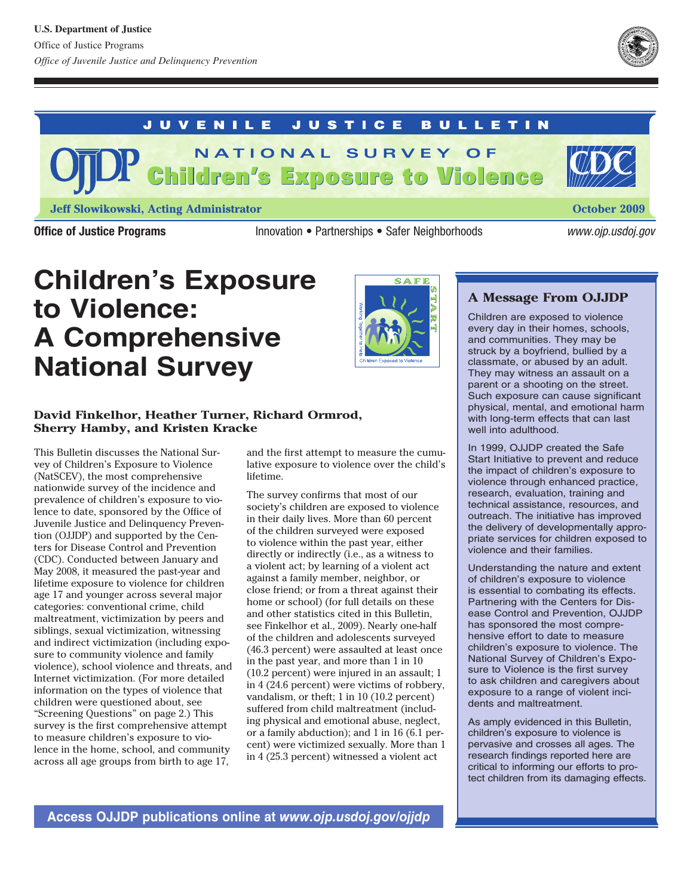

#### **JUVENILE JUSTICE BULLETIN**

Children's Exposure to Violence **NATIONAL SURVEY OF**



**Jeff Slowikowski, Acting Administrator October 2009**

**Office of Justice Programs** Innovation • Partnerships • Safer Neighborhoods *www.ojp.usdoj.gov* 

# **Children's Exposure to Violence: A Comprehensive National Survey**



# **David Finkelhor, Heather Turner, Richard Ormrod, Sherry Hamby, and Kristen Kracke**

This Bulletin discusses the National Survey of Children's Exposure to Violence (NatSCEV), the most comprehensive nationwide survey of the incidence and prevalence of children's exposure to violence to date, sponsored by the Office of Juvenile Justice and Delinquency Prevention (OJJDP) and supported by the Centers for Disease Control and Prevention (CDC). Conducted between January and May 2008, it measured the past-year and lifetime exposure to violence for children age 17 and younger across several major categories: conventional crime, child maltreatment, victimization by peers and siblings, sexual victimization, witnessing and indirect victimization (including exposure to community violence and family violence), school violence and threats, and Internet victimization. (For more detailed information on the types of violence that children were questioned about, see "Screening Questions" on page 2.) This survey is the first comprehensive attempt to measure children's exposure to violence in the home, school, and community across all age groups from birth to age 17,

and the first attempt to measure the cumulative exposure to violence over the child's lifetime.

The survey confirms that most of our society's children are exposed to violence in their daily lives. More than 60 percent of the children surveyed were exposed to violence within the past year, either directly or indirectly (i.e., as a witness to a violent act; by learning of a violent act against a family member, neighbor, or close friend; or from a threat against their home or school) (for full details on these and other statistics cited in this Bulletin, see Finkelhor et al., 2009). Nearly one-half of the children and adolescents surveyed (46.3 percent) were assaulted at least once in the past year, and more than 1 in 10 (10.2 percent) were injured in an assault; 1 in 4 (24.6 percent) were victims of robbery, vandalism, or theft; 1 in 10 (10.2 percent) suffered from child maltreatment (including physical and emotional abuse, neglect, or a family abduction); and 1 in 16 (6.1 percent) were victimized sexually. More than 1 in 4 (25.3 percent) witnessed a violent act



Children are exposed to violence every day in their homes, schools, and communities. They may be struck by a boyfriend, bullied by a classmate, or abused by an adult. They may witness an assault on a parent or a shooting on the street. Such exposure can cause significant physical, mental, and emotional harm with long-term effects that can last well into adulthood.

In 1999, OJJDP created the Safe Start Initiative to prevent and reduce the impact of children's exposure to violence through enhanced practice, research, evaluation, training and technical assistance, resources, and outreach. The initiative has improved the delivery of developmentally appropriate services for children exposed to violence and their families.

Understanding the nature and extent of children's exposure to violence is essential to combating its effects. Partnering with the Centers for Disease Control and Prevention, OJJDP has sponsored the most comprehensive effort to date to measure children's exposure to violence. The National Survey of Children's Exposure to Violence is the first survey to ask children and caregivers about exposure to a range of violent incidents and maltreatment.

As amply evidenced in this Bulletin, children's exposure to violence is pervasive and crosses all ages. The research findings reported here are critical to informing our efforts to protect children from its damaging effects.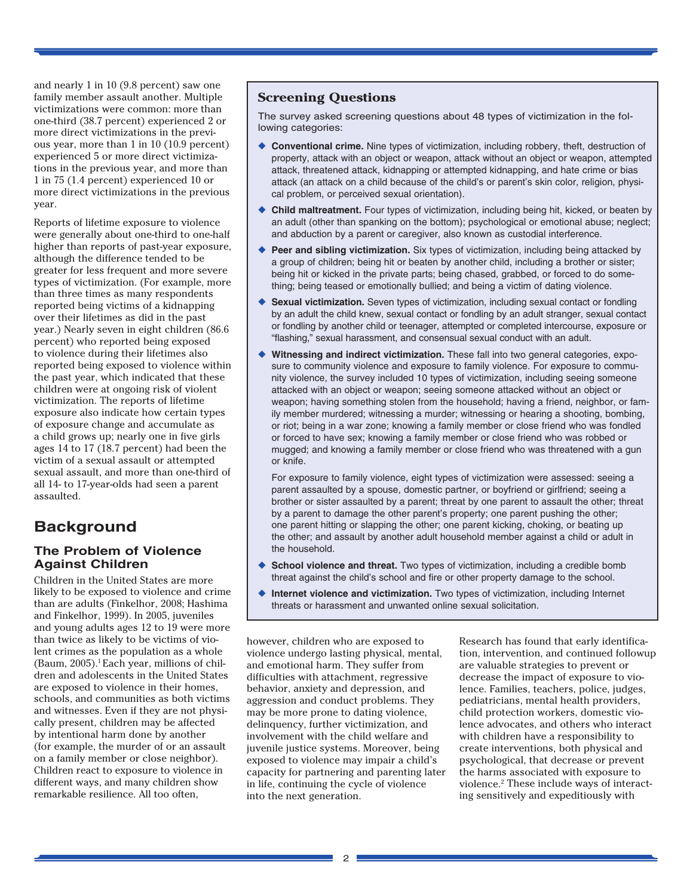and nearly 1 in 10 (9.8 percent) saw one family member assault another. Multiple victimizations were common: more than one-third (38.7 percent) experienced 2 or more direct victimizations in the previous year, more than 1 in 10 (10.9 percent) experienced 5 or more direct victimizations in the previous year, and more than 1 in 75 (1.4 percent) experienced 10 or more direct victimizations in the previous year.

Reports of lifetime exposure to violence were generally about one-third to one-half higher than reports of past-year exposure, although the difference tended to be greater for less frequent and more severe types of victimization. (For example, more than three times as many respondents reported being victims of a kidnapping over their lifetimes as did in the past year.) Nearly seven in eight children (86.6 percent) who reported being exposed to violence during their lifetimes also reported being exposed to violence within the past year, which indicated that these children were at ongoing risk of violent victimization. The reports of lifetime exposure also indicate how certain types of exposure change and accumulate as a child grows up; nearly one in five girls ages 14 to 17 (18.7 percent) had been the victim of a sexual assault or attempted sexual assault, and more than one-third of all 14- to 17-year-olds had seen a parent assaulted.

# **Background**

# **The Problem of Violence Against Children**

Children in the United States are more likely to be exposed to violence and crime than are adults (Finkelhor, 2008; Hashima and Finkelhor, 1999). In 2005, juveniles and young adults ages 12 to 19 were more than twice as likely to be victims of violent crimes as the population as a whole (Baum, 2005).<sup>1</sup> Each year, millions of children and adolescents in the United States are exposed to violence in their homes, schools, and communities as both victims and witnesses. Even if they are not physically present, children may be affected by intentional harm done by another (for example, the murder of or an assault on a family member or close neighbor). Children react to exposure to violence in different ways, and many children show remarkable resilience. All too often,

# **Screening Questions**

The survey asked screening questions about 48 types of victimization in the following categories:

- ◆ **Conventional crime.** Nine types of victimization, including robbery, theft, destruction of property, attack with an object or weapon, attack without an object or weapon, attempted attack, threatened attack, kidnapping or attempted kidnapping, and hate crime or bias attack (an attack on a child because of the child's or parent's skin color, religion, physical problem, or perceived sexual orientation).
- ◆ Child maltreatment. Four types of victimization, including being hit, kicked, or beaten by an adult (other than spanking on the bottom); psychological or emotional abuse; neglect; and abduction by a parent or caregiver, also known as custodial interference.
- Peer and sibling victimization. Six types of victimization, including being attacked by a group of children; being hit or beaten by another child, including a brother or sister; being hit or kicked in the private parts; being chased, grabbed, or forced to do something; being teased or emotionally bullied; and being a victim of dating violence.
- ◆ **Sexual victimization.** Seven types of victimization, including sexual contact or fondling by an adult the child knew, sexual contact or fondling by an adult stranger, sexual contact or fondling by another child or teenager, attempted or completed intercourse, exposure or "flashing," sexual harassment, and consensual sexual conduct with an adult.
- Witnessing and indirect victimization. These fall into two general categories, exposure to community violence and exposure to family violence. For exposure to community violence, the survey included 10 types of victimization, including seeing someone attacked with an object or weapon; seeing someone attacked without an object or weapon; having something stolen from the household; having a friend, neighbor, or family member murdered; witnessing a murder; witnessing or hearing a shooting, bombing, or riot; being in a war zone; knowing a family member or close friend who was fondled or forced to have sex; knowing a family member or close friend who was robbed or mugged; and knowing a family member or close friend who was threatened with a gun or knife.

For exposure to family violence, eight types of victimization were assessed: seeing a parent assaulted by a spouse, domestic partner, or boyfriend or girlfriend; seeing a brother or sister assaulted by a parent; threat by one parent to assault the other; threat by a parent to damage the other parent's property; one parent pushing the other; one parent hitting or slapping the other; one parent kicking, choking, or beating up the other; and assault by another adult household member against a child or adult in the household.

- **School violence and threat.** Two types of victimization, including a credible bomb threat against the child's school and fire or other property damage to the school.
- Internet violence and victimization. Two types of victimization, including Internet threats or harassment and unwanted online sexual solicitation.

however, children who are exposed to violence undergo lasting physical, mental, and emotional harm. They suffer from difficulties with attachment, regressive behavior, anxiety and depression, and aggression and conduct problems. They may be more prone to dating violence, delinquency, further victimization, and involvement with the child welfare and juvenile justice systems. Moreover, being exposed to violence may impair a child's capacity for partnering and parenting later in life, continuing the cycle of violence into the next generation.

Research has found that early identification, intervention, and continued followup are valuable strategies to prevent or decrease the impact of exposure to violence. Families, teachers, police, judges, pediatricians, mental health providers, child protection workers, domestic violence advocates, and others who interact with children have a responsibility to create interventions, both physical and psychological, that decrease or prevent the harms associated with exposure to violence.2 These include ways of interacting sensitively and expeditiously with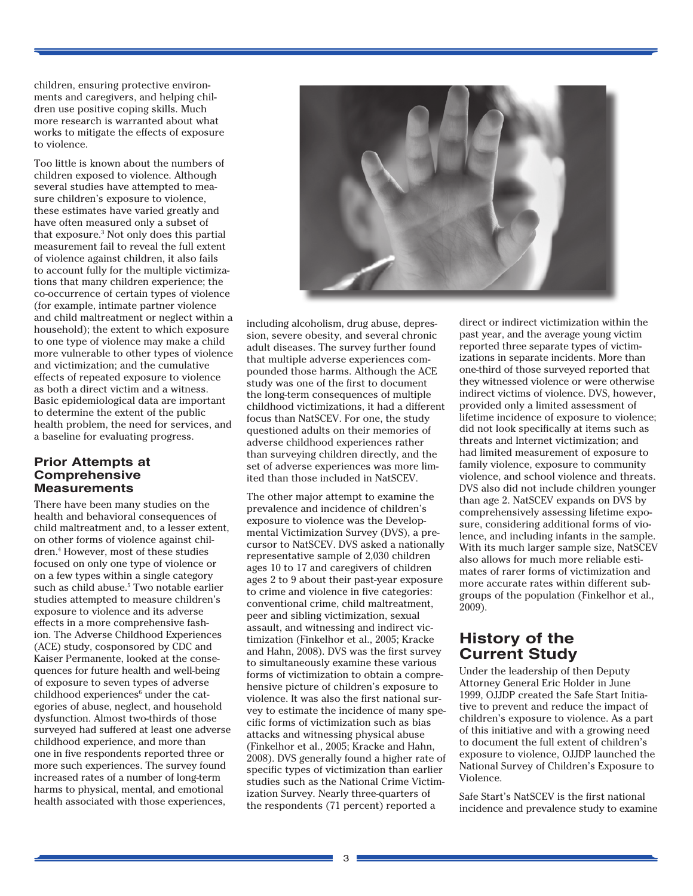children, ensuring protective environments and caregivers, and helping children use positive coping skills. Much more research is warranted about what works to mitigate the effects of exposure to violence.

Too little is known about the numbers of children exposed to violence. Although several studies have attempted to measure children's exposure to violence, these estimates have varied greatly and have often measured only a subset of that exposure.3 Not only does this partial measurement fail to reveal the full extent of violence against children, it also fails to account fully for the multiple victimizations that many children experience; the co-occurrence of certain types of violence (for example, intimate partner violence and child maltreatment or neglect within a household); the extent to which exposure to one type of violence may make a child more vulnerable to other types of violence and victimization; and the cumulative effects of repeated exposure to violence as both a direct victim and a witness. Basic epidemiological data are important to determine the extent of the public health problem, the need for services, and a baseline for evaluating progress.

#### **Prior Attempts at Comprehensive Measurements**

There have been many studies on the health and behavioral consequences of child maltreatment and, to a lesser extent, on other forms of violence against children.4 However, most of these studies focused on only one type of violence or on a few types within a single category such as child abuse.<sup>5</sup> Two notable earlier studies attempted to measure children's exposure to violence and its adverse effects in a more comprehensive fashion. The Adverse Childhood Experiences (ACE) study, cosponsored by CDC and Kaiser Permanente, looked at the consequences for future health and well-being of exposure to seven types of adverse childhood experiences<sup>6</sup> under the categories of abuse, neglect, and household dysfunction. Almost two-thirds of those surveyed had suffered at least one adverse childhood experience, and more than one in five respondents reported three or more such experiences. The survey found increased rates of a number of long-term harms to physical, mental, and emotional health associated with those experiences,



including alcoholism, drug abuse, depression, severe obesity, and several chronic adult diseases. The survey further found that multiple adverse experiences compounded those harms. Although the ACE study was one of the first to document the long-term consequences of multiple childhood victimizations, it had a different focus than NatSCEV. For one, the study questioned adults on their memories of adverse childhood experiences rather than surveying children directly, and the set of adverse experiences was more limited than those included in NatSCEV.

The other major attempt to examine the prevalence and incidence of children's exposure to violence was the Developmental Victimization Survey (DVS), a precursor to NatSCEV. DVS asked a nationally representative sample of 2,030 children ages 10 to 17 and caregivers of children ages 2 to 9 about their past-year exposure to crime and violence in five categories: conventional crime, child maltreatment, peer and sibling victimization, sexual assault, and witnessing and indirect victimization (Finkelhor et al., 2005; Kracke and Hahn, 2008). DVS was the first survey to simultaneously examine these various forms of victimization to obtain a comprehensive picture of children's exposure to violence. It was also the first national survey to estimate the incidence of many specific forms of victimization such as bias attacks and witnessing physical abuse (Finkelhor et al., 2005; Kracke and Hahn, 2008). DVS generally found a higher rate of specific types of victimization than earlier studies such as the National Crime Victimization Survey. Nearly three-quarters of the respondents (71 percent) reported a

direct or indirect victimization within the past year, and the average young victim reported three separate types of victimizations in separate incidents. More than one-third of those surveyed reported that they witnessed violence or were otherwise indirect victims of violence. DVS, however, provided only a limited assessment of lifetime incidence of exposure to violence; did not look specifically at items such as threats and Internet victimization; and had limited measurement of exposure to family violence, exposure to community violence, and school violence and threats. DVS also did not include children younger than age 2. NatSCEV expands on DVS by comprehensively assessing lifetime exposure, considering additional forms of violence, and including infants in the sample. With its much larger sample size, NatSCEV also allows for much more reliable estimates of rarer forms of victimization and more accurate rates within different subgroups of the population (Finkelhor et al., 2009).

# **History of the Current Study**

Under the leadership of then Deputy Attorney General Eric Holder in June 1999, OJJDP created the Safe Start Initiative to prevent and reduce the impact of children's exposure to violence. As a part of this initiative and with a growing need to document the full extent of children's exposure to violence, OJJDP launched the National Survey of Children's Exposure to Violence.

Safe Start's NatSCEV is the first national incidence and prevalence study to examine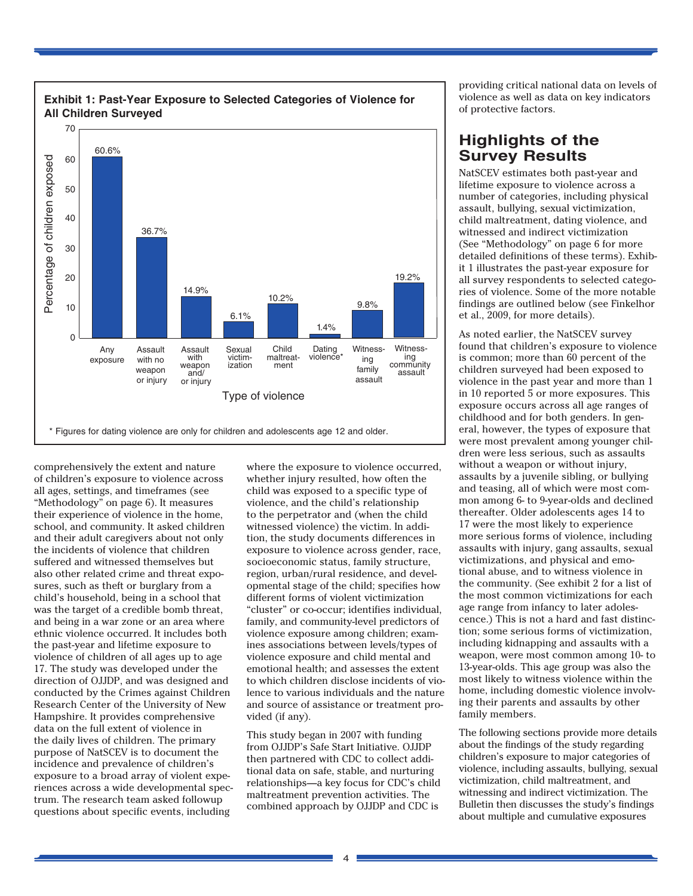

comprehensively the extent and nature of children's exposure to violence across all ages, settings, and timeframes (see "Methodology" on page 6). It measures their experience of violence in the home, school, and community. It asked children and their adult caregivers about not only the incidents of violence that children suffered and witnessed themselves but also other related crime and threat exposures, such as theft or burglary from a child's household, being in a school that was the target of a credible bomb threat, and being in a war zone or an area where ethnic violence occurred. It includes both the past-year and lifetime exposure to violence of children of all ages up to age 17. The study was developed under the direction of OJJDP, and was designed and conducted by the Crimes against Children Research Center of the University of New Hampshire. It provides comprehensive data on the full extent of violence in the daily lives of children. The primary purpose of NatSCEV is to document the incidence and prevalence of children's exposure to a broad array of violent experiences across a wide developmental spectrum. The research team asked followup questions about specific events, including

where the exposure to violence occurred, whether injury resulted, how often the child was exposed to a specific type of violence, and the child's relationship to the perpetrator and (when the child witnessed violence) the victim. In addition, the study documents differences in exposure to violence across gender, race, socioeconomic status, family structure, region, urban/rural residence, and developmental stage of the child; specifies how different forms of violent victimization "cluster" or co-occur; identifies individual, family, and community-level predictors of violence exposure among children; examines associations between levels/types of violence exposure and child mental and emotional health; and assesses the extent to which children disclose incidents of violence to various individuals and the nature and source of assistance or treatment provided (if any).

This study began in 2007 with funding from OJJDP's Safe Start Initiative. OJJDP then partnered with CDC to collect additional data on safe, stable, and nurturing relationships—a key focus for CDC's child maltreatment prevention activities. The combined approach by OJJDP and CDC is

providing critical national data on levels of violence as well as data on key indicators of protective factors.

# **Highlights of the Survey Results**

NatSCEV estimates both past-year and lifetime exposure to violence across a number of categories, including physical assault, bullying, sexual victimization, child maltreatment, dating violence, and witnessed and indirect victimization (See "Methodology" on page 6 for more detailed definitions of these terms). Exhibit 1 illustrates the past-year exposure for all survey respondents to selected categories of violence. Some of the more notable findings are outlined below (see Finkelhor et al., 2009, for more details).

As noted earlier, the NatSCEV survey found that children's exposure to violence is common; more than 60 percent of the children surveyed had been exposed to violence in the past year and more than 1 in 10 reported 5 or more exposures. This exposure occurs across all age ranges of childhood and for both genders. In general, however, the types of exposure that were most prevalent among younger children were less serious, such as assaults without a weapon or without injury, assaults by a juvenile sibling, or bullying and teasing, all of which were most common among 6- to 9-year-olds and declined thereafter. Older adolescents ages 14 to 17 were the most likely to experience more serious forms of violence, including assaults with injury, gang assaults, sexual victimizations, and physical and emotional abuse, and to witness violence in the community. (See exhibit 2 for a list of the most common victimizations for each age range from infancy to later adolescence.) This is not a hard and fast distinction; some serious forms of victimization, including kidnapping and assaults with a weapon, were most common among 10- to 13-year-olds. This age group was also the most likely to witness violence within the home, including domestic violence involving their parents and assaults by other family members.

The following sections provide more details about the findings of the study regarding children's exposure to major categories of violence, including assaults, bullying, sexual victimization, child maltreatment, and witnessing and indirect victimization. The Bulletin then discusses the study's findings about multiple and cumulative exposures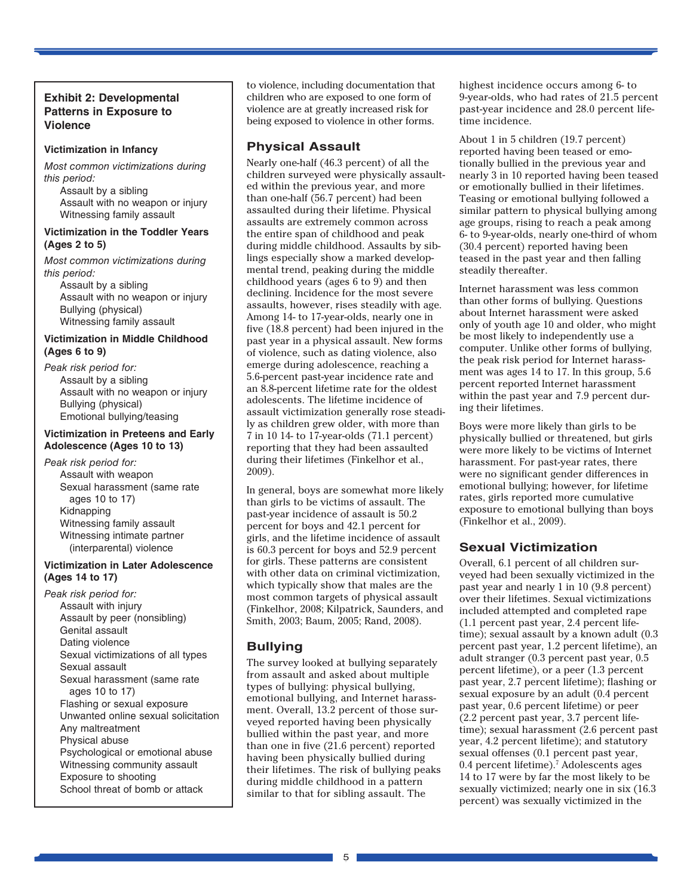# **Exhibit 2: Developmental Patterns in Exposure to Violence**

#### **Victimization in Infancy**

*Most common victimizations during this period:*

Assault by a sibling Assault with no weapon or injury Witnessing family assault

#### **Victimization in the Toddler Years (Ages 2 to 5)**

*Most common victimizations during this period:*

Assault by a sibling Assault with no weapon or injury Bullying (physical) Witnessing family assault

#### **Victimization in Middle Childhood (Ages 6 to 9)**

*Peak risk period for:* Assault by a sibling Assault with no weapon or injury Bullying (physical) Emotional bullying/teasing

#### **Victimization in Preteens and Early Adolescence (Ages 10 to 13)**

*Peak risk period for:* Assault with weapon Sexual harassment (same rate ages 10 to 17) Kidnapping Witnessing family assault Witnessing intimate partner (interparental) violence

#### **Victimization in Later Adolescence (Ages 14 to 17)**

*Peak risk period for:* Assault with injury Assault by peer (nonsibling) Genital assault Dating violence Sexual victimizations of all types Sexual assault Sexual harassment (same rate ages 10 to 17) Flashing or sexual exposure Unwanted online sexual solicitation Any maltreatment Physical abuse Psychological or emotional abuse Witnessing community assault Exposure to shooting School threat of bomb or attack

to violence, including documentation that children who are exposed to one form of violence are at greatly increased risk for being exposed to violence in other forms.

### **Physical Assault**

Nearly one-half (46.3 percent) of all the children surveyed were physically assaulted within the previous year, and more than one-half (56.7 percent) had been assaulted during their lifetime. Physical assaults are extremely common across the entire span of childhood and peak during middle childhood. Assaults by siblings especially show a marked developmental trend, peaking during the middle childhood years (ages 6 to 9) and then declining. Incidence for the most severe assaults, however, rises steadily with age. Among 14- to 17-year-olds, nearly one in five (18.8 percent) had been injured in the past year in a physical assault. New forms of violence, such as dating violence, also emerge during adolescence, reaching a 5.6-percent past-year incidence rate and an 8.8-percent lifetime rate for the oldest adolescents. The lifetime incidence of assault victimization generally rose steadily as children grew older, with more than 7 in 10 14- to 17-year-olds (71.1 percent) reporting that they had been assaulted during their lifetimes (Finkelhor et al., 2009).

In general, boys are somewhat more likely than girls to be victims of assault. The past-year incidence of assault is 50.2 percent for boys and 42.1 percent for girls, and the lifetime incidence of assault is 60.3 percent for boys and 52.9 percent for girls. These patterns are consistent with other data on criminal victimization, which typically show that males are the most common targets of physical assault (Finkelhor, 2008; Kilpatrick, Saunders, and Smith, 2003; Baum, 2005; Rand, 2008).

# **Bullying**

The survey looked at bullying separately from assault and asked about multiple types of bullying: physical bullying, emotional bullying, and Internet harassment. Overall, 13.2 percent of those surveyed reported having been physically bullied within the past year, and more than one in five (21.6 percent) reported having been physically bullied during their lifetimes. The risk of bullying peaks during middle childhood in a pattern similar to that for sibling assault. The

highest incidence occurs among 6- to 9-year-olds, who had rates of 21.5 percent past-year incidence and 28.0 percent lifetime incidence.

About 1 in 5 children (19.7 percent) reported having been teased or emotionally bullied in the previous year and nearly 3 in 10 reported having been teased or emotionally bullied in their lifetimes. Teasing or emotional bullying followed a similar pattern to physical bullying among age groups, rising to reach a peak among 6- to 9-year-olds, nearly one-third of whom (30.4 percent) reported having been teased in the past year and then falling steadily thereafter.

Internet harassment was less common than other forms of bullying. Questions about Internet harassment were asked only of youth age 10 and older, who might be most likely to independently use a computer. Unlike other forms of bullying, the peak risk period for Internet harassment was ages 14 to 17. In this group, 5.6 percent reported Internet harassment within the past year and 7.9 percent during their lifetimes.

Boys were more likely than girls to be physically bullied or threatened, but girls were more likely to be victims of Internet harassment. For past-year rates, there were no significant gender differences in emotional bullying; however, for lifetime rates, girls reported more cumulative exposure to emotional bullying than boys (Finkelhor et al., 2009).

# **Sexual Victimization**

Overall, 6.1 percent of all children surveyed had been sexually victimized in the past year and nearly 1 in 10 (9.8 percent) over their lifetimes. Sexual victimizations included attempted and completed rape (1.1 percent past year, 2.4 percent lifetime); sexual assault by a known adult (0.3 percent past year, 1.2 percent lifetime), an adult stranger (0.3 percent past year, 0.5 percent lifetime), or a peer (1.3 percent past year, 2.7 percent lifetime); flashing or sexual exposure by an adult (0.4 percent past year, 0.6 percent lifetime) or peer (2.2 percent past year, 3.7 percent lifetime); sexual harassment (2.6 percent past year, 4.2 percent lifetime); and statutory sexual offenses (0.1 percent past year, 0.4 percent lifetime).7 Adolescents ages 14 to 17 were by far the most likely to be sexually victimized; nearly one in six (16.3 percent) was sexually victimized in the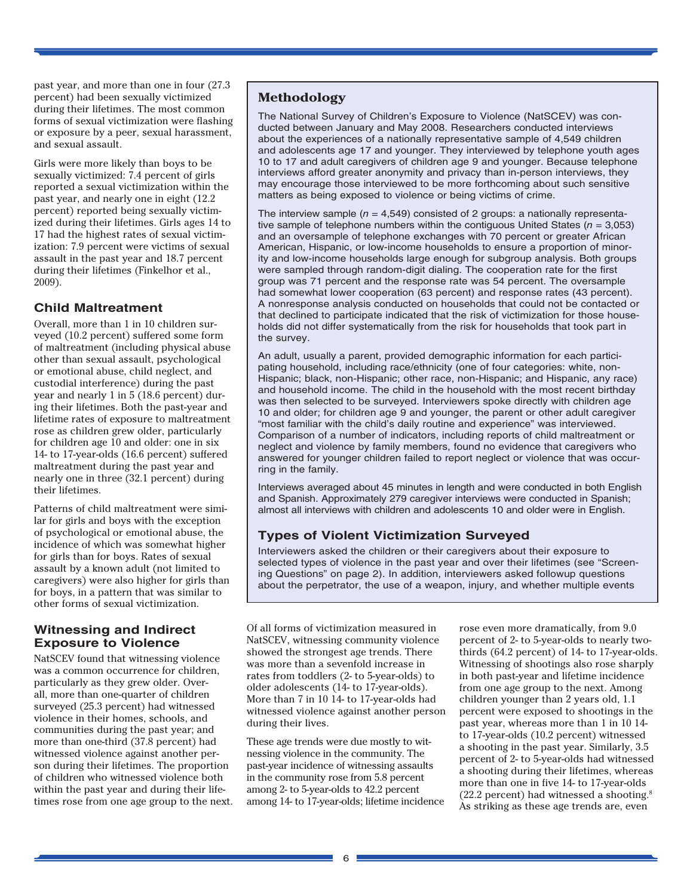past year, and more than one in four (27.3 percent) had been sexually victimized during their lifetimes. The most common forms of sexual victimization were flashing or exposure by a peer, sexual harassment, and sexual assault.

Girls were more likely than boys to be sexually victimized: 7.4 percent of girls reported a sexual victimization within the past year, and nearly one in eight (12.2 percent) reported being sexually victimized during their lifetimes. Girls ages 14 to 17 had the highest rates of sexual victimization: 7.9 percent were victims of sexual assault in the past year and 18.7 percent during their lifetimes (Finkelhor et al., 2009).

# **Child Maltreatment**

Overall, more than 1 in 10 children surveyed (10.2 percent) suffered some form of maltreatment (including physical abuse other than sexual assault, psychological or emotional abuse, child neglect, and custodial interference) during the past year and nearly 1 in 5 (18.6 percent) during their lifetimes. Both the past-year and lifetime rates of exposure to maltreatment rose as children grew older, particularly for children age 10 and older: one in six 14- to 17-year-olds (16.6 percent) suffered maltreatment during the past year and nearly one in three (32.1 percent) during their lifetimes.

Patterns of child maltreatment were similar for girls and boys with the exception of psychological or emotional abuse, the incidence of which was somewhat higher for girls than for boys. Rates of sexual assault by a known adult (not limited to caregivers) were also higher for girls than for boys, in a pattern that was similar to other forms of sexual victimization.

# **Witnessing and Indirect Exposure to Violence**

NatSCEV found that witnessing violence was a common occurrence for children, particularly as they grew older. Overall, more than one-quarter of children surveyed (25.3 percent) had witnessed violence in their homes, schools, and communities during the past year; and more than one-third (37.8 percent) had witnessed violence against another person during their lifetimes. The proportion of children who witnessed violence both within the past year and during their lifetimes rose from one age group to the next.

# **Methodology**

The National Survey of Children's Exposure to Violence (NatSCEV) was conducted between January and May 2008. Researchers conducted interviews about the experiences of a nationally representative sample of 4,549 children and adolescents age 17 and younger. They interviewed by telephone youth ages 10 to 17 and adult caregivers of children age 9 and younger. Because telephone interviews afford greater anonymity and privacy than in-person interviews, they may encourage those interviewed to be more forthcoming about such sensitive matters as being exposed to violence or being victims of crime.

The interview sample  $(n = 4,549)$  consisted of 2 groups: a nationally representative sample of telephone numbers within the contiguous United States ( $n = 3,053$ ) and an oversample of telephone exchanges with 70 percent or greater African American, Hispanic, or low-income households to ensure a proportion of minority and low-income households large enough for subgroup analysis. Both groups were sampled through random-digit dialing. The cooperation rate for the first group was 71 percent and the response rate was 54 percent. The oversample had somewhat lower cooperation (63 percent) and response rates (43 percent). A nonresponse analysis conducted on households that could not be contacted or that declined to participate indicated that the risk of victimization for those households did not differ systematically from the risk for households that took part in the survey.

An adult, usually a parent, provided demographic information for each participating household, including race/ethnicity (one of four categories: white, non-Hispanic; black, non-Hispanic; other race, non-Hispanic; and Hispanic, any race) and household income. The child in the household with the most recent birthday was then selected to be surveyed. Interviewers spoke directly with children age 10 and older; for children age 9 and younger, the parent or other adult caregiver "most familiar with the child's daily routine and experience" was interviewed. Comparison of a number of indicators, including reports of child maltreatment or neglect and violence by family members, found no evidence that caregivers who answered for younger children failed to report neglect or violence that was occurring in the family.

Interviews averaged about 45 minutes in length and were conducted in both English and Spanish. Approximately 279 caregiver interviews were conducted in Spanish; almost all interviews with children and adolescents 10 and older were in English.

# **Types of Violent Victimization Surveyed**

Interviewers asked the children or their caregivers about their exposure to selected types of violence in the past year and over their lifetimes (see "Screening Questions" on page 2). In addition, interviewers asked followup questions about the perpetrator, the use of a weapon, injury, and whether multiple events

Of all forms of victimization measured in NatSCEV, witnessing community violence showed the strongest age trends. There was more than a sevenfold increase in rates from toddlers (2- to 5-year-olds) to older adolescents (14- to 17-year-olds). More than 7 in 10 14- to 17-year-olds had witnessed violence against another person during their lives.

These age trends were due mostly to witnessing violence in the community. The past-year incidence of witnessing assaults in the community rose from 5.8 percent among 2- to 5-year-olds to 42.2 percent among 14- to 17-year-olds; lifetime incidence rose even more dramatically, from 9.0 percent of 2- to 5-year-olds to nearly twothirds (64.2 percent) of 14- to 17-year-olds. Witnessing of shootings also rose sharply in both past-year and lifetime incidence from one age group to the next. Among children younger than 2 years old, 1.1 percent were exposed to shootings in the past year, whereas more than 1 in 10 14 to 17-year-olds (10.2 percent) witnessed a shooting in the past year. Similarly, 3.5 percent of 2- to 5-year-olds had witnessed a shooting during their lifetimes, whereas more than one in five 14- to 17-year-olds (22.2 percent) had witnessed a shooting.<sup>8</sup> As striking as these age trends are, even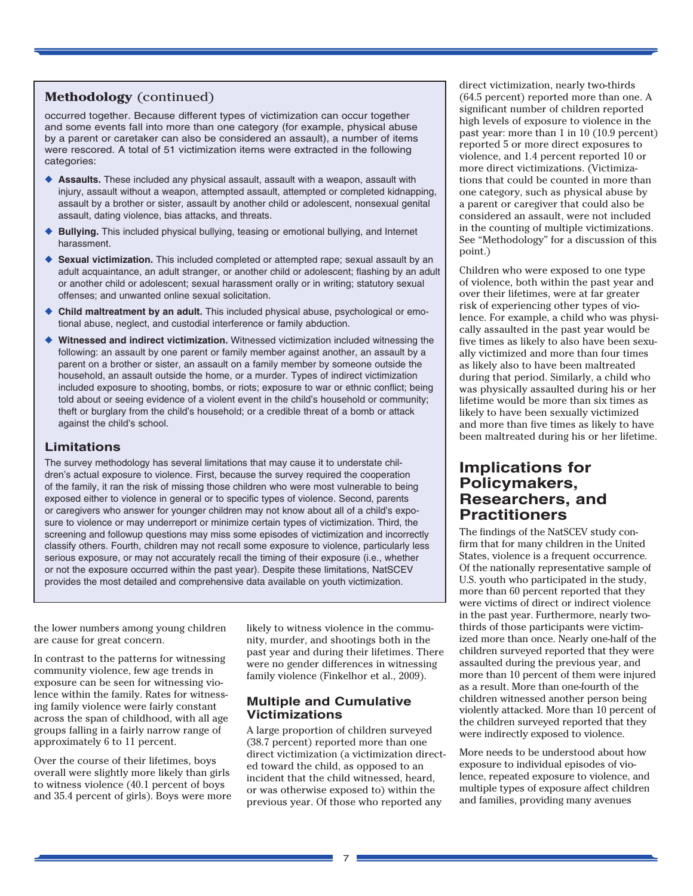# **Methodology** (continued)

occurred together. Because different types of victimization can occur together and some events fall into more than one category (for example, physical abuse by a parent or caretaker can also be considered an assault), a number of items were rescored. A total of 51 victimization items were extracted in the following categories:

- ◆ Assaults. These included any physical assault, assault with a weapon, assault with injury, assault without a weapon, attempted assault, attempted or completed kidnapping, assault by a brother or sister, assault by another child or adolescent, nonsexual genital assault, dating violence, bias attacks, and threats.
- ◆ Bullying. This included physical bullying, teasing or emotional bullying, and Internet harassment.
- ◆ **Sexual victimization.** This included completed or attempted rape; sexual assault by an adult acquaintance, an adult stranger, or another child or adolescent; flashing by an adult or another child or adolescent; sexual harassment orally or in writing; statutory sexual offenses; and unwanted online sexual solicitation.
- ◆ Child maltreatment by an adult. This included physical abuse, psychological or emotional abuse, neglect, and custodial interference or family abduction.
- u **Witnessed and indirect victimization.** Witnessed victimization included witnessing the following: an assault by one parent or family member against another, an assault by a parent on a brother or sister, an assault on a family member by someone outside the household, an assault outside the home, or a murder. Types of indirect victimization included exposure to shooting, bombs, or riots; exposure to war or ethnic conflict; being told about or seeing evidence of a violent event in the child's household or community; theft or burglary from the child's household; or a credible threat of a bomb or attack against the child's school.

### **Limitations**

The survey methodology has several limitations that may cause it to understate children's actual exposure to violence. First, because the survey required the cooperation of the family, it ran the risk of missing those children who were most vulnerable to being exposed either to violence in general or to specific types of violence. Second, parents or caregivers who answer for younger children may not know about all of a child's exposure to violence or may underreport or minimize certain types of victimization. Third, the screening and followup questions may miss some episodes of victimization and incorrectly classify others. Fourth, children may not recall some exposure to violence, particularly less serious exposure, or may not accurately recall the timing of their exposure (i.e., whether or not the exposure occurred within the past year). Despite these limitations, NatSCEV provides the most detailed and comprehensive data available on youth victimization.

the lower numbers among young children are cause for great concern.

In contrast to the patterns for witnessing community violence, few age trends in exposure can be seen for witnessing violence within the family. Rates for witnessing family violence were fairly constant across the span of childhood, with all age groups falling in a fairly narrow range of approximately 6 to 11 percent.

Over the course of their lifetimes, boys overall were slightly more likely than girls to witness violence (40.1 percent of boys and 35.4 percent of girls). Boys were more likely to witness violence in the community, murder, and shootings both in the past year and during their lifetimes. There were no gender differences in witnessing family violence (Finkelhor et al., 2009).

### **Multiple and Cumulative Victimizations**

A large proportion of children surveyed (38.7 percent) reported more than one direct victimization (a victimization directed toward the child, as opposed to an incident that the child witnessed, heard, or was otherwise exposed to) within the previous year. Of those who reported any

direct victimization, nearly two-thirds (64.5 percent) reported more than one. A significant number of children reported high levels of exposure to violence in the past year: more than 1 in 10 (10.9 percent) reported 5 or more direct exposures to violence, and 1.4 percent reported 10 or more direct victimizations. (Victimizations that could be counted in more than one category, such as physical abuse by a parent or caregiver that could also be considered an assault, were not included in the counting of multiple victimizations. See "Methodology" for a discussion of this point.)

Children who were exposed to one type of violence, both within the past year and over their lifetimes, were at far greater risk of experiencing other types of violence. For example, a child who was physically assaulted in the past year would be five times as likely to also have been sexually victimized and more than four times as likely also to have been maltreated during that period. Similarly, a child who was physically assaulted during his or her lifetime would be more than six times as likely to have been sexually victimized and more than five times as likely to have been maltreated during his or her lifetime.

# **Implications for Policymakers, Researchers, and Practitioners**

The findings of the NatSCEV study confirm that for many children in the United States, violence is a frequent occurrence. Of the nationally representative sample of U.S. youth who participated in the study, more than 60 percent reported that they were victims of direct or indirect violence in the past year. Furthermore, nearly twothirds of those participants were victimized more than once. Nearly one-half of the children surveyed reported that they were assaulted during the previous year, and more than 10 percent of them were injured as a result. More than one-fourth of the children witnessed another person being violently attacked. More than 10 percent of the children surveyed reported that they were indirectly exposed to violence.

More needs to be understood about how exposure to individual episodes of violence, repeated exposure to violence, and multiple types of exposure affect children and families, providing many avenues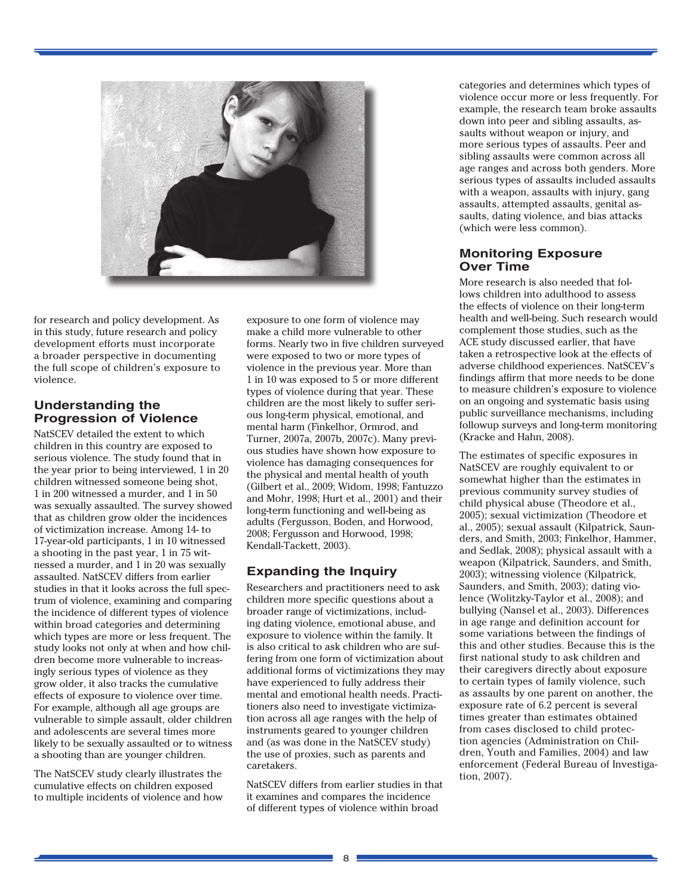

for research and policy development. As in this study, future research and policy development efforts must incorporate a broader perspective in documenting the full scope of children's exposure to violence.

### **Understanding the Progression of Violence**

NatSCEV detailed the extent to which children in this country are exposed to serious violence. The study found that in the year prior to being interviewed, 1 in 20 children witnessed someone being shot, 1 in 200 witnessed a murder, and 1 in 50 was sexually assaulted. The survey showed that as children grow older the incidences of victimization increase. Among 14- to 17-year-old participants, 1 in 10 witnessed a shooting in the past year, 1 in 75 witnessed a murder, and 1 in 20 was sexually assaulted. NatSCEV differs from earlier studies in that it looks across the full spectrum of violence, examining and comparing the incidence of different types of violence within broad categories and determining which types are more or less frequent. The study looks not only at when and how children become more vulnerable to increasingly serious types of violence as they grow older, it also tracks the cumulative effects of exposure to violence over time. For example, although all age groups are vulnerable to simple assault, older children and adolescents are several times more likely to be sexually assaulted or to witness a shooting than are younger children.

The NatSCEV study clearly illustrates the cumulative effects on children exposed to multiple incidents of violence and how exposure to one form of violence may make a child more vulnerable to other forms. Nearly two in five children surveyed were exposed to two or more types of violence in the previous year. More than 1 in 10 was exposed to 5 or more different types of violence during that year. These children are the most likely to suffer serious long-term physical, emotional, and mental harm (Finkelhor, Ormrod, and Turner, 2007a, 2007b, 2007c). Many previous studies have shown how exposure to violence has damaging consequences for the physical and mental health of youth (Gilbert et al., 2009; Widom, 1998; Fantuzzo and Mohr, 1998; Hurt et al., 2001) and their long-term functioning and well-being as adults (Fergusson, Boden, and Horwood, 2008; Fergusson and Horwood, 1998; Kendall-Tackett, 2003).

# **Expanding the Inquiry**

Researchers and practitioners need to ask children more specific questions about a broader range of victimizations, including dating violence, emotional abuse, and exposure to violence within the family. It is also critical to ask children who are suffering from one form of victimization about additional forms of victimizations they may have experienced to fully address their mental and emotional health needs. Practitioners also need to investigate victimization across all age ranges with the help of instruments geared to younger children and (as was done in the NatSCEV study) the use of proxies, such as parents and caretakers.

NatSCEV differs from earlier studies in that it examines and compares the incidence of different types of violence within broad

categories and determines which types of violence occur more or less frequently. For example, the research team broke assaults down into peer and sibling assaults, assaults without weapon or injury, and more serious types of assaults. Peer and sibling assaults were common across all age ranges and across both genders. More serious types of assaults included assaults with a weapon, assaults with injury, gang assaults, attempted assaults, genital assaults, dating violence, and bias attacks (which were less common).

### **Monitoring Exposure Over Time**

More research is also needed that follows children into adulthood to assess the effects of violence on their long-term health and well-being. Such research would complement those studies, such as the ACE study discussed earlier, that have taken a retrospective look at the effects of adverse childhood experiences. NatSCEV's findings affirm that more needs to be done to measure children's exposure to violence on an ongoing and systematic basis using public surveillance mechanisms, including followup surveys and long-term monitoring (Kracke and Hahn, 2008).

The estimates of specific exposures in NatSCEV are roughly equivalent to or somewhat higher than the estimates in previous community survey studies of child physical abuse (Theodore et al., 2005); sexual victimization (Theodore et al., 2005); sexual assault (Kilpatrick, Saunders, and Smith, 2003; Finkelhor, Hammer, and Sedlak, 2008); physical assault with a weapon (Kilpatrick, Saunders, and Smith, 2003); witnessing violence (Kilpatrick, Saunders, and Smith, 2003); dating violence (Wolitzky-Taylor et al., 2008); and bullying (Nansel et al., 2003). Differences in age range and definition account for some variations between the findings of this and other studies. Because this is the first national study to ask children and their caregivers directly about exposure to certain types of family violence, such as assaults by one parent on another, the exposure rate of 6.2 percent is several times greater than estimates obtained from cases disclosed to child protection agencies (Administration on Children, Youth and Families, 2004) and law enforcement (Federal Bureau of Investigation, 2007).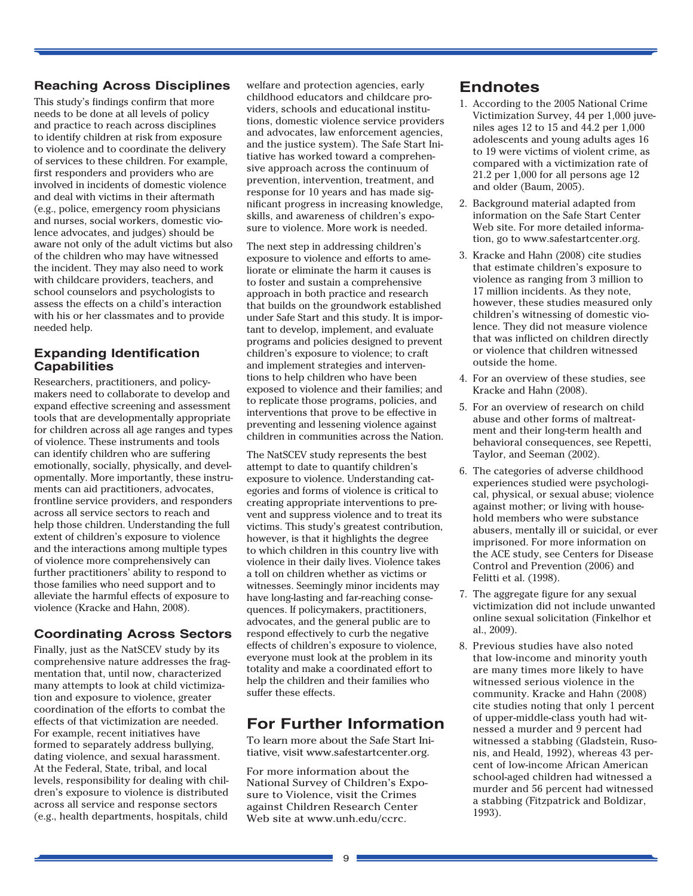### **Reaching Across Disciplines**

This study's findings confirm that more needs to be done at all levels of policy and practice to reach across disciplines to identify children at risk from exposure to violence and to coordinate the delivery of services to these children. For example, first responders and providers who are involved in incidents of domestic violence and deal with victims in their aftermath (e.g., police, emergency room physicians and nurses, social workers, domestic violence advocates, and judges) should be aware not only of the adult victims but also of the children who may have witnessed the incident. They may also need to work with childcare providers, teachers, and school counselors and psychologists to assess the effects on a child's interaction with his or her classmates and to provide needed help.

### **Expanding Identification Capabilities**

Researchers, practitioners, and policymakers need to collaborate to develop and expand effective screening and assessment tools that are developmentally appropriate for children across all age ranges and types of violence. These instruments and tools can identify children who are suffering emotionally, socially, physically, and developmentally. More importantly, these instruments can aid practitioners, advocates, frontline service providers, and responders across all service sectors to reach and help those children. Understanding the full extent of children's exposure to violence and the interactions among multiple types of violence more comprehensively can further practitioners' ability to respond to those families who need support and to alleviate the harmful effects of exposure to violence (Kracke and Hahn, 2008).

# **Coordinating Across Sectors**

Finally, just as the NatSCEV study by its comprehensive nature addresses the fragmentation that, until now, characterized many attempts to look at child victimization and exposure to violence, greater coordination of the efforts to combat the effects of that victimization are needed. For example, recent initiatives have formed to separately address bullying, dating violence, and sexual harassment. At the Federal, State, tribal, and local levels, responsibility for dealing with children's exposure to violence is distributed across all service and response sectors (e.g., health departments, hospitals, child

welfare and protection agencies, early childhood educators and childcare providers, schools and educational institutions, domestic violence service providers and advocates, law enforcement agencies, and the justice system). The Safe Start Initiative has worked toward a comprehensive approach across the continuum of prevention, intervention, treatment, and response for 10 years and has made significant progress in increasing knowledge, skills, and awareness of children's exposure to violence. More work is needed.

The next step in addressing children's exposure to violence and efforts to ameliorate or eliminate the harm it causes is to foster and sustain a comprehensive approach in both practice and research that builds on the groundwork established under Safe Start and this study. It is important to develop, implement, and evaluate programs and policies designed to prevent children's exposure to violence; to craft and implement strategies and interventions to help children who have been exposed to violence and their families; and to replicate those programs, policies, and interventions that prove to be effective in preventing and lessening violence against children in communities across the Nation.

The NatSCEV study represents the best attempt to date to quantify children's exposure to violence. Understanding categories and forms of violence is critical to creating appropriate interventions to prevent and suppress violence and to treat its victims. This study's greatest contribution, however, is that it highlights the degree to which children in this country live with violence in their daily lives. Violence takes a toll on children whether as victims or witnesses. Seemingly minor incidents may have long-lasting and far-reaching consequences. If policymakers, practitioners, advocates, and the general public are to respond effectively to curb the negative effects of children's exposure to violence, everyone must look at the problem in its totality and make a coordinated effort to help the children and their families who suffer these effects.

# **For Further Information**

To learn more about the Safe Start Initiative, visit www.safestartcenter.org.

For more information about the National Survey of Children's Exposure to Violence, visit the Crimes against Children Research Center Web site at www.unh.edu/ccrc.

# **Endnotes**

- 1. According to the 2005 National Crime Victimization Survey, 44 per 1,000 juveniles ages 12 to 15 and 44.2 per 1,000 adolescents and young adults ages 16 to 19 were victims of violent crime, as compared with a victimization rate of 21.2 per 1,000 for all persons age 12 and older (Baum, 2005).
- 2. Background material adapted from information on the Safe Start Center Web site. For more detailed information, go to www.safestartcenter.org.
- 3. Kracke and Hahn (2008) cite studies that estimate children's exposure to violence as ranging from 3 million to 17 million incidents. As they note, however, these studies measured only children's witnessing of domestic violence. They did not measure violence that was inflicted on children directly or violence that children witnessed outside the home.
- 4. For an overview of these studies, see Kracke and Hahn (2008).
- 5. For an overview of research on child abuse and other forms of maltreatment and their long-term health and behavioral consequences, see Repetti, Taylor, and Seeman (2002).
- 6. The categories of adverse childhood experiences studied were psychological, physical, or sexual abuse; violence against mother; or living with household members who were substance abusers, mentally ill or suicidal, or ever imprisoned. For more information on the ACE study, see Centers for Disease Control and Prevention (2006) and Felitti et al. (1998).
- 7. The aggregate figure for any sexual victimization did not include unwanted online sexual solicitation (Finkelhor et al., 2009).
- 8. Previous studies have also noted that low-income and minority youth are many times more likely to have witnessed serious violence in the community. Kracke and Hahn (2008) cite studies noting that only 1 percent of upper-middle-class youth had witnessed a murder and 9 percent had witnessed a stabbing (Gladstein, Rusonis, and Heald, 1992), whereas 43 percent of low-income African American school-aged children had witnessed a murder and 56 percent had witnessed a stabbing (Fitzpatrick and Boldizar, 1993).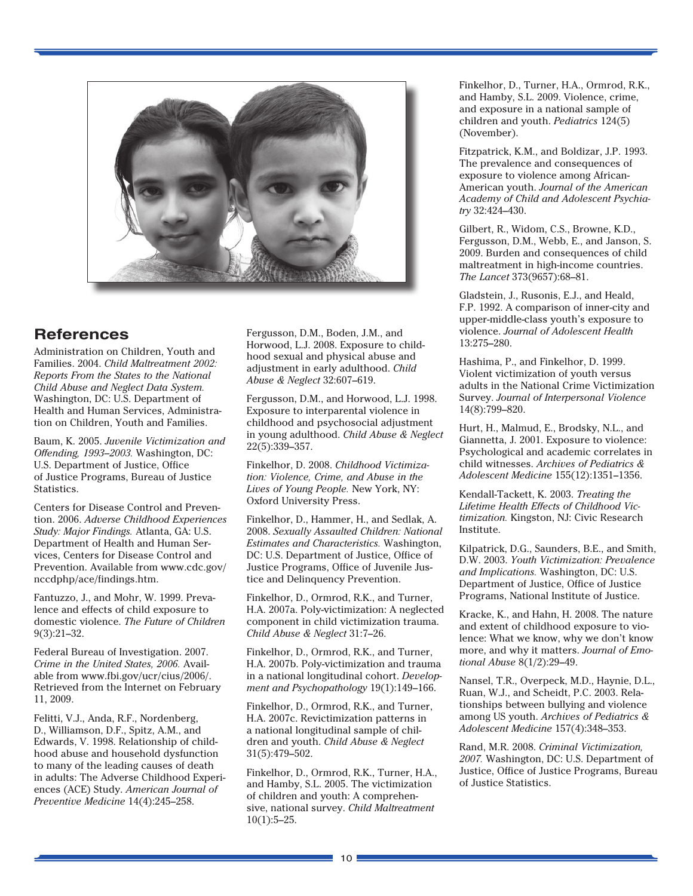

# **References**

Administration on Children, Youth and Families. 2004. *Child Maltreatment 2002: Reports From the States to the National Child Abuse and Neglect Data System.* Washington, DC: U.S. Department of Health and Human Services, Administration on Children, Youth and Families.

Baum, K. 2005. *Juvenile Victimization and Offending, 1993–2003.* Washington, DC: U.S. Department of Justice, Office of Justice Programs, Bureau of Justice **Statistics** 

Centers for Disease Control and Prevention. 2006. *Adverse Childhood Experiences Study: Major Findings.* Atlanta, GA: U.S. Department of Health and Human Services, Centers for Disease Control and Prevention. Available from www.cdc.gov/ nccdphp/ace/findings.htm.

Fantuzzo, J., and Mohr, W. 1999. Prevalence and effects of child exposure to domestic violence. *The Future of Children* 9(3):21–32.

Federal Bureau of Investigation. 2007. *Crime in the United States, 2006.* Available from www.fbi.gov/ucr/cius/2006/. Retrieved from the Internet on February 11, 2009.

Felitti, V.J., Anda, R.F., Nordenberg, D., Williamson, D.F., Spitz, A.M., and Edwards, V. 1998. Relationship of childhood abuse and household dysfunction to many of the leading causes of death in adults: The Adverse Childhood Experiences (ACE) Study. *American Journal of Preventive Medicine* 14(4):245–258.

Fergusson, D.M., Boden, J.M., and Horwood, L.J. 2008. Exposure to childhood sexual and physical abuse and adjustment in early adulthood. *Child Abuse & Neglect* 32:607–619.

Fergusson, D.M., and Horwood, L.J. 1998. Exposure to interparental violence in childhood and psychosocial adjustment in young adulthood. *Child Abuse & Neglect* 22(5):339–357.

Finkelhor, D. 2008. *Childhood Victimization: Violence, Crime, and Abuse in the Lives of Young People.* New York, NY: Oxford University Press.

Finkelhor, D., Hammer, H., and Sedlak, A. 2008. *Sexually Assaulted Children: National Estimates and Characteristics.* Washington, DC: U.S. Department of Justice, Office of Justice Programs, Office of Juvenile Justice and Delinquency Prevention.

Finkelhor, D., Ormrod, R.K., and Turner, H.A. 2007a. Poly-victimization: A neglected component in child victimization trauma. *Child Abuse & Neglect* 31:7–26.

Finkelhor, D., Ormrod, R.K., and Turner, H.A. 2007b. Poly-victimization and trauma in a national longitudinal cohort. *Development and Psychopathology* 19(1):149–166.

Finkelhor, D., Ormrod, R.K., and Turner, H.A. 2007c. Revictimization patterns in a national longitudinal sample of children and youth. *Child Abuse & Neglect* 31(5):479–502.

Finkelhor, D., Ormrod, R.K., Turner, H.A., and Hamby, S.L. 2005. The victimization of children and youth: A comprehensive, national survey. *Child Maltreatment*  $10(1):5-25.$ 

Finkelhor, D., Turner, H.A., Ormrod, R.K., and Hamby, S.L. 2009. Violence, crime, and exposure in a national sample of children and youth. *Pediatrics* 124(5) (November).

Fitzpatrick, K.M., and Boldizar, J.P. 1993. The prevalence and consequences of exposure to violence among African-American youth. *Journal of the American Academy of Child and Adolescent Psychiatry* 32:424–430.

Gilbert, R., Widom, C.S., Browne, K.D., Fergusson, D.M., Webb, E., and Janson, S. 2009. Burden and consequences of child maltreatment in high-income countries. *The Lancet* 373(9657):68–81.

Gladstein, J., Rusonis, E.J., and Heald, F.P. 1992. A comparison of inner-city and upper-middle-class youth's exposure to violence. *Journal of Adolescent Health* 13:275–280.

Hashima, P., and Finkelhor, D. 1999. Violent victimization of youth versus adults in the National Crime Victimization Survey. *Journal of Interpersonal Violence* 14(8):799–820.

Hurt, H., Malmud, E., Brodsky, N.L., and Giannetta, J. 2001. Exposure to violence: Psychological and academic correlates in child witnesses. *Archives of Pediatrics & Adolescent Medicine* 155(12):1351–1356.

Kendall-Tackett, K. 2003. *Treating the Lifetime Health Effects of Childhood Victimization.* Kingston, NJ: Civic Research Institute.

Kilpatrick, D.G., Saunders, B.E., and Smith, D.W. 2003. *Youth Victimization: Prevalence and Implications.* Washington, DC: U.S. Department of Justice, Office of Justice Programs, National Institute of Justice.

Kracke, K., and Hahn, H. 2008. The nature and extent of childhood exposure to violence: What we know, why we don't know more, and why it matters. *Journal of Emotional Abuse* 8(1/2):29–49.

Nansel, T.R., Overpeck, M.D., Haynie, D.L., Ruan, W.J., and Scheidt, P.C. 2003. Relationships between bullying and violence among US youth. *Archives of Pediatrics & Adolescent Medicine* 157(4):348–353.

Rand, M.R. 2008. *Criminal Victimization, 2007.* Washington, DC: U.S. Department of Justice, Office of Justice Programs, Bureau of Justice Statistics.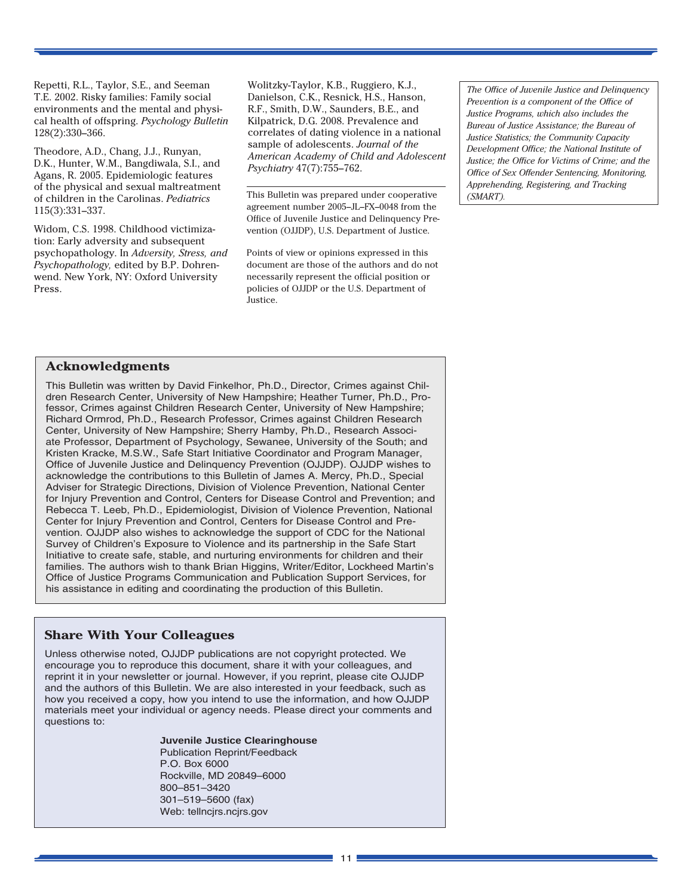Repetti, R.L., Taylor, S.E., and Seeman T.E. 2002. Risky families: Family social environments and the mental and physical health of offspring. *Psychology Bulletin* 128(2):330–366.

Theodore, A.D., Chang, J.J., Runyan, D.K., Hunter, W.M., Bangdiwala, S.I., and Agans, R. 2005. Epidemiologic features of the physical and sexual maltreatment of children in the Carolinas. *Pediatrics* 115(3):331–337.

Widom, C.S. 1998. Childhood victimization: Early adversity and subsequent psychopathology. In *Adversity, Stress, and Psychopathology,* edited by B.P. Dohrenwend. New York, NY: Oxford University Press.

Wolitzky-Taylor, K.B., Ruggiero, K.J., Danielson, C.K., Resnick, H.S., Hanson, R.F., Smith, D.W., Saunders, B.E., and Kilpatrick, D.G. 2008. Prevalence and correlates of dating violence in a national sample of adolescents. *Journal of the American Academy of Child and Adolescent Psychiatry* 47(7):755–762.

This Bulletin was prepared under cooperative agreement number 2005–JL–FX–0048 from the Office of Juvenile Justice and Delinquency Prevention (OJJDP), U.S. Department of Justice.

Points of view or opinions expressed in this document are those of the authors and do not necessarily represent the official position or policies of OJJDP or the U.S. Department of Justice.

*The Office of Juvenile Justice and Delinquency Prevention is a component of the Office of Justice Programs, which also includes the Bureau of Justice Assistance; the Bureau of Justice Statistics; the Community Capacity Development Office; the National Institute of Justice; the Office for Victims of Crime; and the Office of Sex Offender Sentencing, Monitoring, Apprehending, Registering, and Tracking (SMART).*

#### **Acknowledgments**

This Bulletin was written by David Finkelhor, Ph.D., Director, Crimes against Children Research Center, University of New Hampshire; Heather Turner, Ph.D., Professor, Crimes against Children Research Center, University of New Hampshire; Richard Ormrod, Ph.D., Research Professor, Crimes against Children Research Center, University of New Hampshire; Sherry Hamby, Ph.D., Research Associate Professor, Department of Psychology, Sewanee, University of the South; and Kristen Kracke, M.S.W., Safe Start Initiative Coordinator and Program Manager, Office of Juvenile Justice and Delinquency Prevention (OJJDP). OJJDP wishes to acknowledge the contributions to this Bulletin of James A. Mercy, Ph.D., Special Adviser for Strategic Directions, Division of Violence Prevention, National Center for Injury Prevention and Control, Centers for Disease Control and Prevention; and Rebecca T. Leeb, Ph.D., Epidemiologist, Division of Violence Prevention, National Center for Injury Prevention and Control, Centers for Disease Control and Prevention. OJJDP also wishes to acknowledge the support of CDC for the National Survey of Children's Exposure to Violence and its partnership in the Safe Start Initiative to create safe, stable, and nurturing environments for children and their families. The authors wish to thank Brian Higgins, Writer/Editor, Lockheed Martin's Office of Justice Programs Communication and Publication Support Services, for his assistance in editing and coordinating the production of this Bulletin.

### **Share With Your Colleagues**

Unless otherwise noted, OJJDP publications are not copyright protected. We encourage you to reproduce this document, share it with your colleagues, and reprint it in your newsletter or journal. However, if you reprint, please cite OJJDP and the authors of this Bulletin. We are also interested in your feedback, such as how you received a copy, how you intend to use the information, and how OJJDP materials meet your individual or agency needs. Please direct your comments and questions to:

> **Juvenile Justice Clearinghouse** Publication Reprint/Feedback P.O. Box 6000 Rockville, MD 20849–6000 800–851–3420 301–519–5600 (fax) Web: tellncjrs.ncjrs.gov